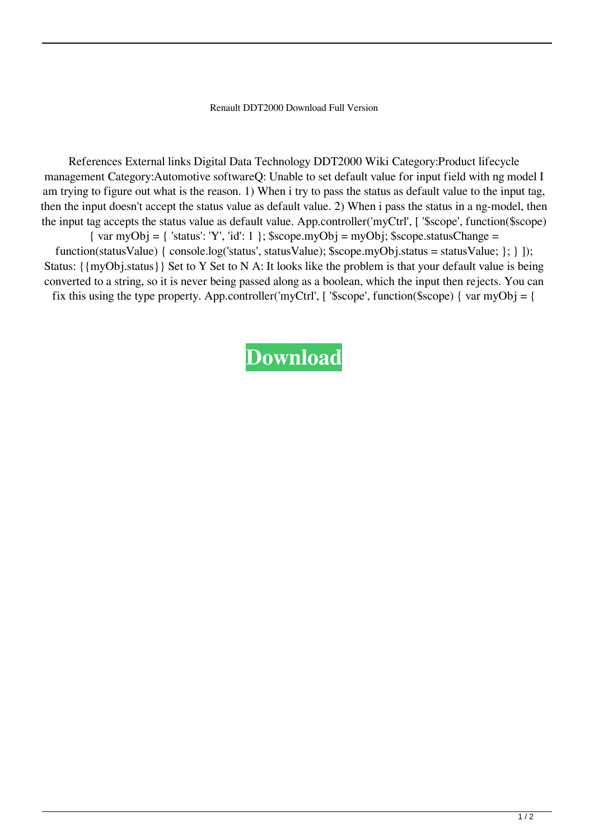## Renault DDT2000 Download Full Version

References External links Digital Data Technology DDT2000 Wiki Category:Product lifecycle management Category:Automotive softwareQ: Unable to set default value for input field with ng model I am trying to figure out what is the reason. 1) When i try to pass the status as default value to the input tag, then the input doesn't accept the status value as default value. 2) When i pass the status in a ng-model, then the input tag accepts the status value as default value. App.controller('myCtrl', [ '\$scope', function(\$scope)  $\{ \text{var myObj} = \{ \text{ 'status': 'Y', 'id': 1 } \};$ \$scope.myObj = myObj; \$scope.statusChange = function(statusValue) { console.log('status', statusValue); \$scope.myObj.status = statusValue;  $\}$ ; } ]); Status: {{myObj.status}} Set to Y Set to N A: It looks like the problem is that your default value is being converted to a string, so it is never being passed along as a boolean, which the input then rejects. You can fix this using the type property. App.controller('myCtrl',  $\lceil$ '\$scope', function(\$scope)  $\lceil$  var myObj =  $\lceil$ 

## **[Download](http://evacdir.com/hellas/cocked.josep?dGVsZWNoYXJnZXIgZGR0MjAwMCBncmF0dWl0dGV=shedua/mindstanding=&ZG93bmxvYWR8N1IyT1doMlpueDhNVFkxTlRnME1qazRNWHg4TWpVNU1IeDhLRTBwSUZkdmNtUndjbVZ6Y3lCYldFMU1VbEJESUZZeUlGQkVSbDA=mobilizing)**